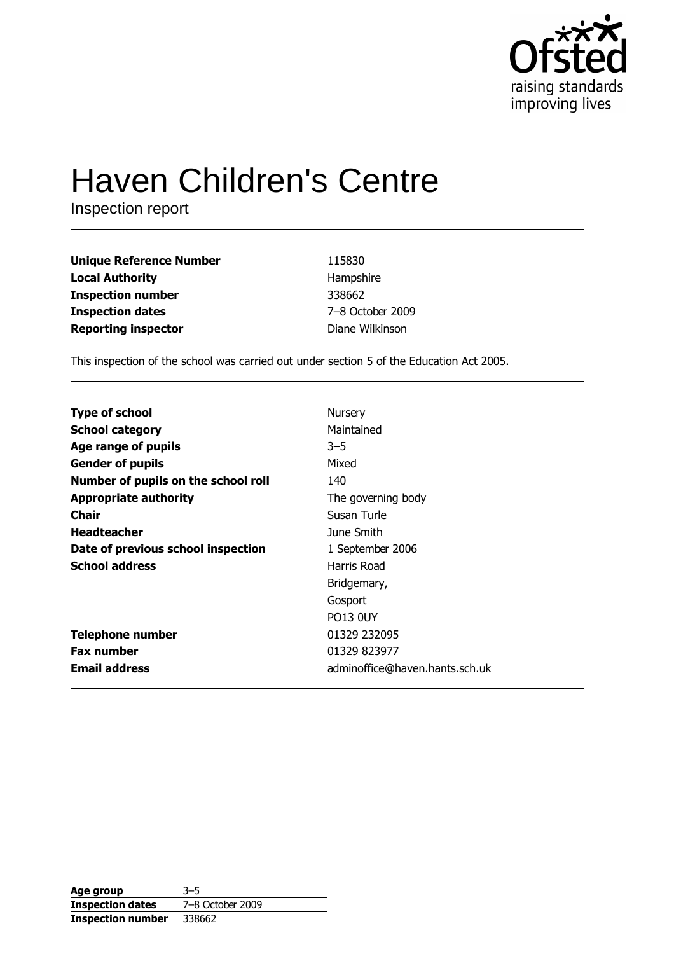

# **Haven Children's Centre**

Inspection report

| <b>Unique Reference Number</b> | 115830           |
|--------------------------------|------------------|
| <b>Local Authority</b>         | Hampshire        |
| <b>Inspection number</b>       | 338662           |
| <b>Inspection dates</b>        | 7-8 October 2009 |
| <b>Reporting inspector</b>     | Diane Wilkinson  |

This inspection of the school was carried out under section 5 of the Education Act 2005.

| <b>Type of school</b>               | Nursery                        |
|-------------------------------------|--------------------------------|
| <b>School category</b>              | Maintained                     |
| Age range of pupils                 | $3 - 5$                        |
| <b>Gender of pupils</b>             | Mixed                          |
| Number of pupils on the school roll | 140                            |
| <b>Appropriate authority</b>        | The governing body             |
| Chair                               | Susan Turle                    |
| <b>Headteacher</b>                  | June Smith                     |
| Date of previous school inspection  | 1 September 2006               |
| <b>School address</b>               | Harris Road                    |
|                                     | Bridgemary,                    |
|                                     | Gosport                        |
|                                     | <b>PO13 0UY</b>                |
| <b>Telephone number</b>             | 01329 232095                   |
| <b>Fax number</b>                   | 01329 823977                   |
| <b>Email address</b>                | adminoffice@haven.hants.sch.uk |

| Age group                | $3 - 5$          |
|--------------------------|------------------|
| <b>Inspection dates</b>  | 7-8 October 2009 |
| <b>Inspection number</b> | 338662           |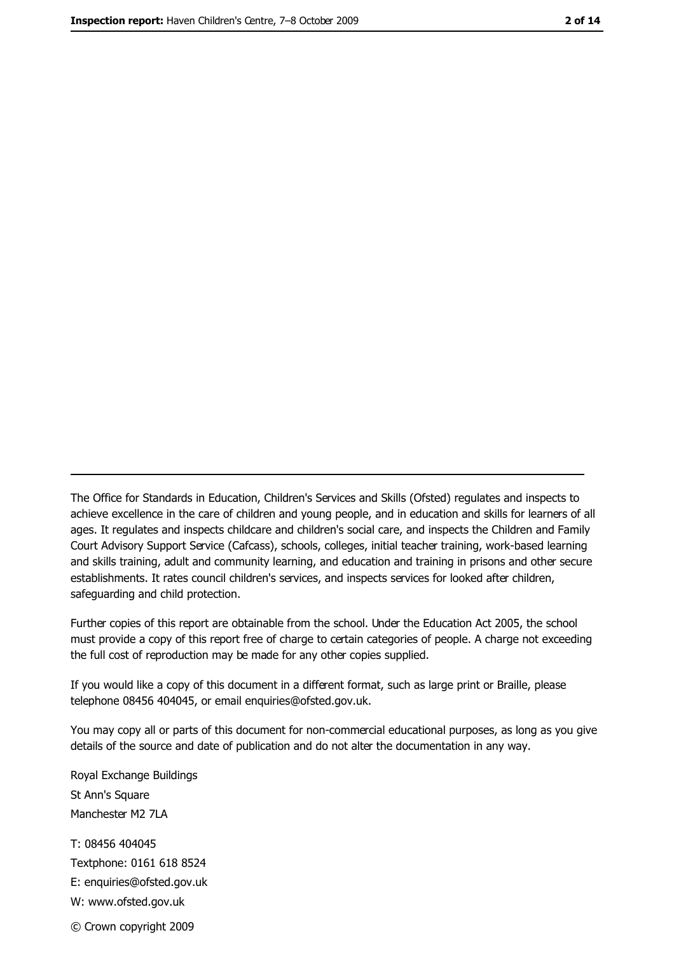The Office for Standards in Education, Children's Services and Skills (Ofsted) regulates and inspects to achieve excellence in the care of children and young people, and in education and skills for learners of all ages. It regulates and inspects childcare and children's social care, and inspects the Children and Family Court Advisory Support Service (Cafcass), schools, colleges, initial teacher training, work-based learning and skills training, adult and community learning, and education and training in prisons and other secure establishments. It rates council children's services, and inspects services for looked after children, safequarding and child protection.

Further copies of this report are obtainable from the school. Under the Education Act 2005, the school must provide a copy of this report free of charge to certain categories of people. A charge not exceeding the full cost of reproduction may be made for any other copies supplied.

If you would like a copy of this document in a different format, such as large print or Braille, please telephone 08456 404045, or email enquiries@ofsted.gov.uk.

You may copy all or parts of this document for non-commercial educational purposes, as long as you give details of the source and date of publication and do not alter the documentation in any way.

Royal Exchange Buildings St Ann's Square Manchester M2 7LA T: 08456 404045 Textphone: 0161 618 8524 E: enquiries@ofsted.gov.uk W: www.ofsted.gov.uk © Crown copyright 2009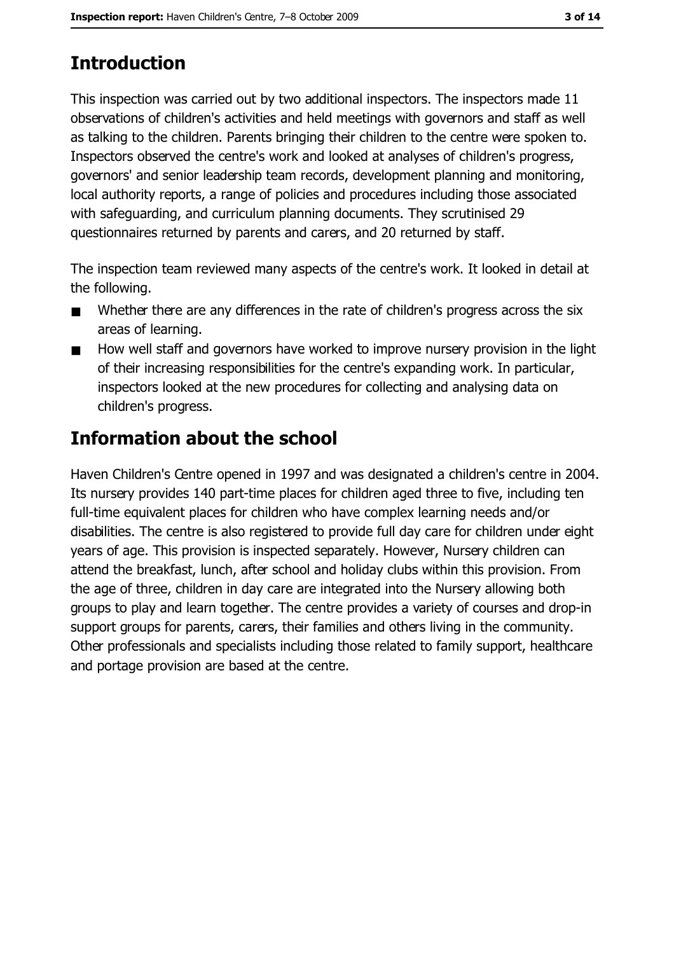# **Introduction**

This inspection was carried out by two additional inspectors. The inspectors made 11 observations of children's activities and held meetings with governors and staff as well as talking to the children. Parents bringing their children to the centre were spoken to. Inspectors observed the centre's work and looked at analyses of children's progress, governors' and senior leadership team records, development planning and monitoring, local authority reports, a range of policies and procedures including those associated with safeguarding, and curriculum planning documents. They scrutinised 29 questionnaires returned by parents and carers, and 20 returned by staff.

The inspection team reviewed many aspects of the centre's work. It looked in detail at the following.

- Whether there are any differences in the rate of children's progress across the six  $\blacksquare$ areas of learning.
- How well staff and governors have worked to improve nursery provision in the light  $\blacksquare$ of their increasing responsibilities for the centre's expanding work. In particular, inspectors looked at the new procedures for collecting and analysing data on children's progress.

# **Information about the school**

Haven Children's Centre opened in 1997 and was designated a children's centre in 2004. Its nursery provides 140 part-time places for children aged three to five, including ten full-time equivalent places for children who have complex learning needs and/or disabilities. The centre is also registered to provide full day care for children under eight years of age. This provision is inspected separately. However, Nursery children can attend the breakfast, lunch, after school and holiday clubs within this provision. From the age of three, children in day care are integrated into the Nursery allowing both groups to play and learn together. The centre provides a variety of courses and drop-in support groups for parents, carers, their families and others living in the community. Other professionals and specialists including those related to family support, healthcare and portage provision are based at the centre.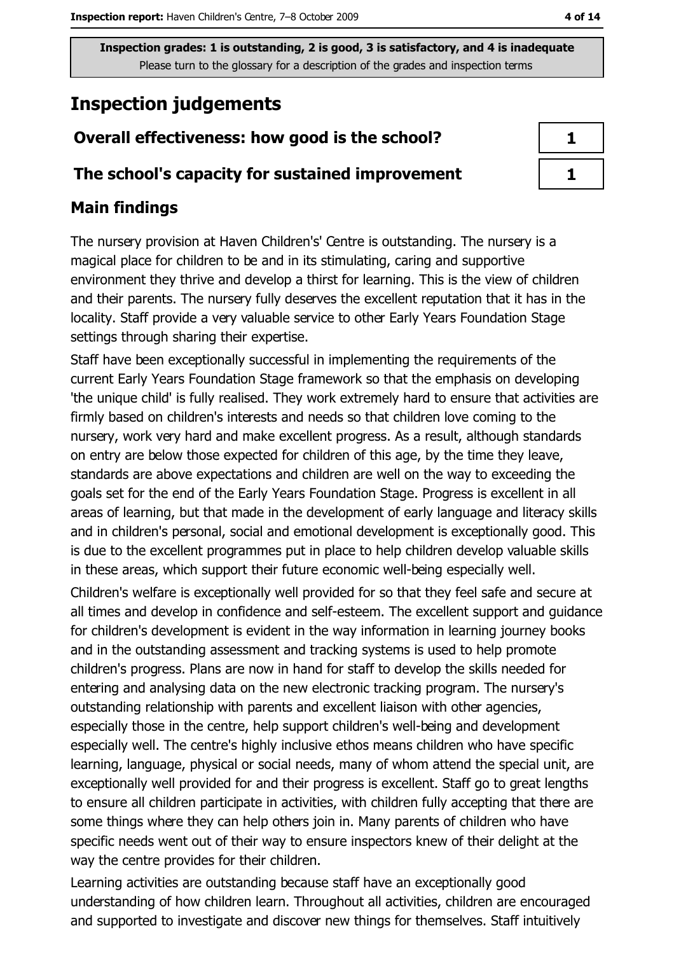## **Inspection judgements**

## Overall effectiveness: how good is the school?

#### The school's capacity for sustained improvement

#### **Main findings**

The nursery provision at Haven Children's' Centre is outstanding. The nursery is a magical place for children to be and in its stimulating, caring and supportive environment they thrive and develop a thirst for learning. This is the view of children and their parents. The nursery fully deserves the excellent reputation that it has in the locality. Staff provide a very valuable service to other Early Years Foundation Stage settings through sharing their expertise.

Staff have been exceptionally successful in implementing the requirements of the current Early Years Foundation Stage framework so that the emphasis on developing 'the unique child' is fully realised. They work extremely hard to ensure that activities are firmly based on children's interests and needs so that children love coming to the nursery, work very hard and make excellent progress. As a result, although standards on entry are below those expected for children of this age, by the time they leave, standards are above expectations and children are well on the way to exceeding the goals set for the end of the Early Years Foundation Stage. Progress is excellent in all areas of learning, but that made in the development of early language and literacy skills and in children's personal, social and emotional development is exceptionally good. This is due to the excellent programmes put in place to help children develop valuable skills in these areas, which support their future economic well-being especially well.

Children's welfare is exceptionally well provided for so that they feel safe and secure at all times and develop in confidence and self-esteem. The excellent support and guidance for children's development is evident in the way information in learning journey books and in the outstanding assessment and tracking systems is used to help promote children's progress. Plans are now in hand for staff to develop the skills needed for entering and analysing data on the new electronic tracking program. The nursery's outstanding relationship with parents and excellent liaison with other agencies, especially those in the centre, help support children's well-being and development especially well. The centre's highly inclusive ethos means children who have specific learning, language, physical or social needs, many of whom attend the special unit, are exceptionally well provided for and their progress is excellent. Staff go to great lengths to ensure all children participate in activities, with children fully accepting that there are some things where they can help others join in. Many parents of children who have specific needs went out of their way to ensure inspectors knew of their delight at the way the centre provides for their children.

Learning activities are outstanding because staff have an exceptionally good understanding of how children learn. Throughout all activities, children are encouraged and supported to investigate and discover new things for themselves. Staff intuitively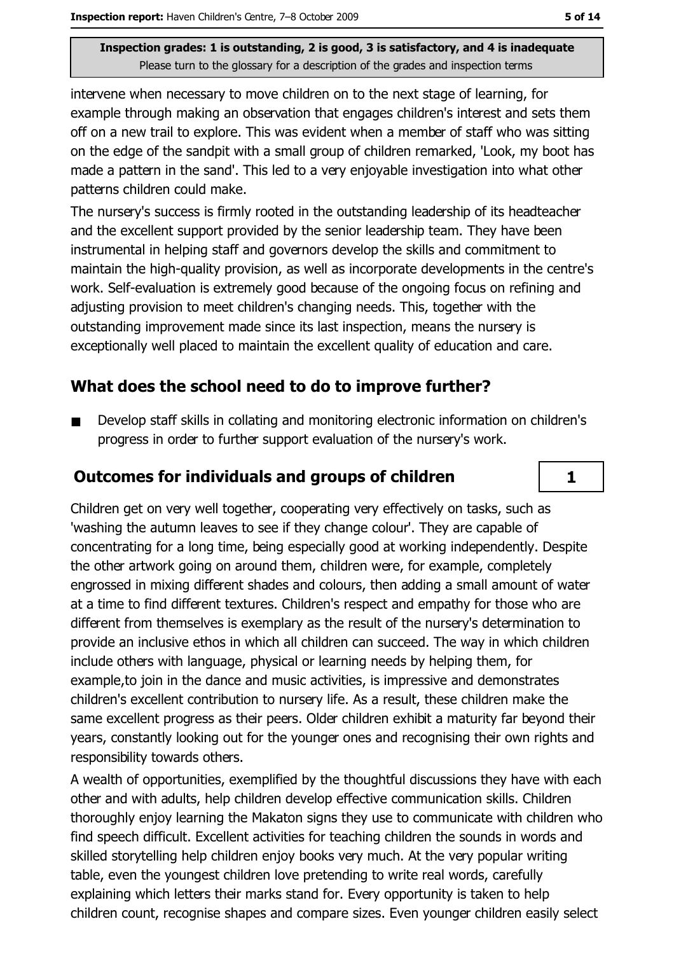intervene when necessary to move children on to the next stage of learning, for example through making an observation that engages children's interest and sets them off on a new trail to explore. This was evident when a member of staff who was sitting on the edge of the sandpit with a small group of children remarked, 'Look, my boot has made a pattern in the sand'. This led to a very enjoyable investigation into what other patterns children could make.

The nursery's success is firmly rooted in the outstanding leadership of its headteacher and the excellent support provided by the senior leadership team. They have been instrumental in helping staff and governors develop the skills and commitment to maintain the high-quality provision, as well as incorporate developments in the centre's work. Self-evaluation is extremely good because of the ongoing focus on refining and adjusting provision to meet children's changing needs. This, together with the outstanding improvement made since its last inspection, means the nursery is exceptionally well placed to maintain the excellent quality of education and care.

#### What does the school need to do to improve further?

Develop staff skills in collating and monitoring electronic information on children's progress in order to further support evaluation of the nursery's work.

#### **Outcomes for individuals and groups of children**

Children get on very well together, cooperating very effectively on tasks, such as 'washing the autumn leaves to see if they change colour'. They are capable of concentrating for a long time, being especially good at working independently. Despite the other artwork going on around them, children were, for example, completely engrossed in mixing different shades and colours, then adding a small amount of water at a time to find different textures. Children's respect and empathy for those who are different from themselves is exemplary as the result of the nursery's determination to provide an inclusive ethos in which all children can succeed. The way in which children include others with language, physical or learning needs by helping them, for example, to join in the dance and music activities, is impressive and demonstrates children's excellent contribution to nursery life. As a result, these children make the same excellent progress as their peers. Older children exhibit a maturity far beyond their years, constantly looking out for the younger ones and recognising their own rights and responsibility towards others.

A wealth of opportunities, exemplified by the thoughtful discussions they have with each other and with adults, help children develop effective communication skills. Children thoroughly enjoy learning the Makaton signs they use to communicate with children who find speech difficult. Excellent activities for teaching children the sounds in words and skilled storytelling help children enjoy books very much. At the very popular writing table, even the youngest children love pretending to write real words, carefully explaining which letters their marks stand for. Every opportunity is taken to help children count, recognise shapes and compare sizes. Even younger children easily select

 $\mathbf{1}$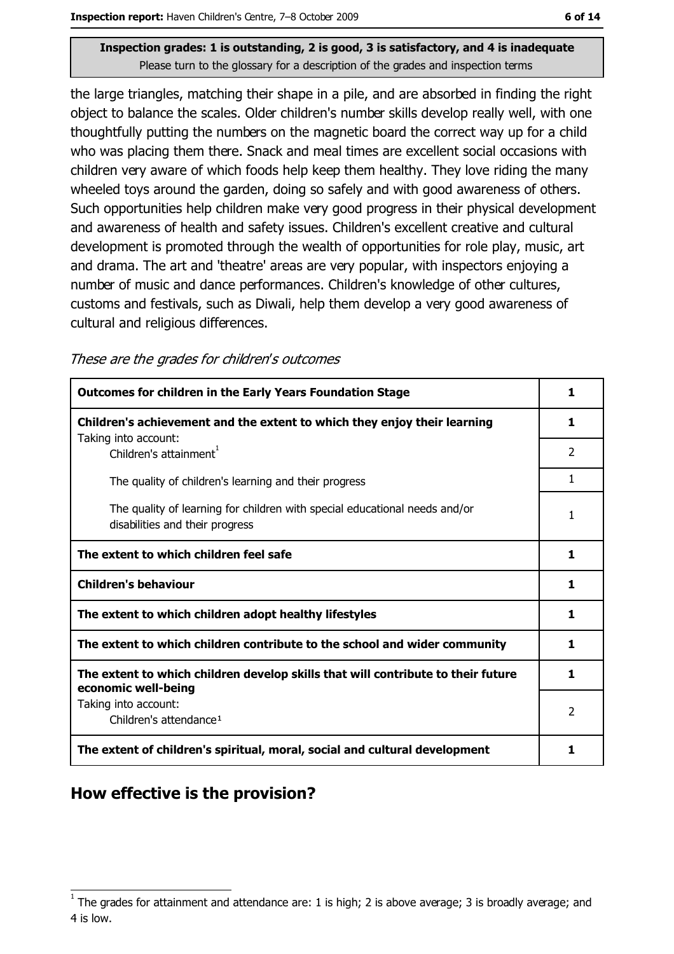the large triangles, matching their shape in a pile, and are absorbed in finding the right object to balance the scales. Older children's number skills develop really well, with one thoughtfully putting the numbers on the magnetic board the correct way up for a child who was placing them there. Snack and meal times are excellent social occasions with children very aware of which foods help keep them healthy. They love riding the many wheeled toys around the garden, doing so safely and with good awareness of others. Such opportunities help children make very good progress in their physical development and awareness of health and safety issues. Children's excellent creative and cultural development is promoted through the wealth of opportunities for role play, music, art and drama. The art and 'theatre' areas are very popular, with inspectors enjoying a number of music and dance performances. Children's knowledge of other cultures, customs and festivals, such as Diwali, help them develop a very good awareness of cultural and religious differences.

These are the grades for children's outcomes

| <b>Outcomes for children in the Early Years Foundation Stage</b>                                              |                |
|---------------------------------------------------------------------------------------------------------------|----------------|
| Children's achievement and the extent to which they enjoy their learning                                      | 1              |
| Taking into account:<br>Children's attainment <sup>1</sup>                                                    | $\overline{2}$ |
| The quality of children's learning and their progress                                                         | 1              |
| The quality of learning for children with special educational needs and/or<br>disabilities and their progress | 1              |
| The extent to which children feel safe                                                                        |                |
| <b>Children's behaviour</b>                                                                                   |                |
| The extent to which children adopt healthy lifestyles                                                         |                |
| The extent to which children contribute to the school and wider community                                     |                |
| The extent to which children develop skills that will contribute to their future<br>economic well-being       |                |
| Taking into account:<br>Children's attendance <sup>1</sup>                                                    | $\overline{2}$ |
| The extent of children's spiritual, moral, social and cultural development                                    |                |

## How effective is the provision?

The grades for attainment and attendance are: 1 is high; 2 is above average; 3 is broadly average; and 4 is low.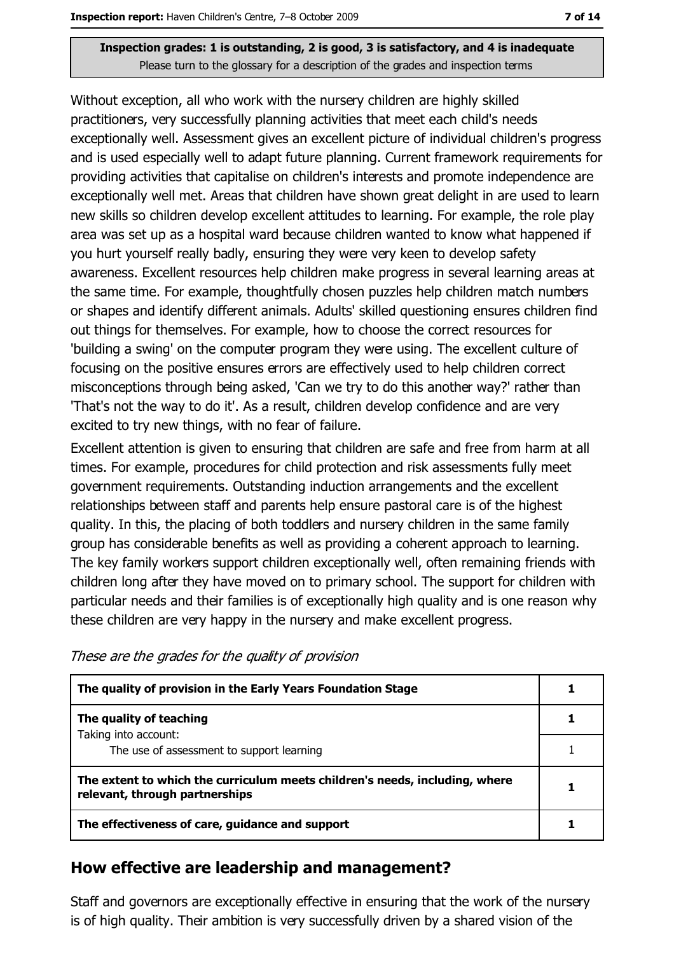Without exception, all who work with the nursery children are highly skilled practitioners, very successfully planning activities that meet each child's needs exceptionally well. Assessment gives an excellent picture of individual children's progress and is used especially well to adapt future planning. Current framework requirements for providing activities that capitalise on children's interests and promote independence are exceptionally well met. Areas that children have shown great delight in are used to learn new skills so children develop excellent attitudes to learning. For example, the role play area was set up as a hospital ward because children wanted to know what happened if you hurt yourself really badly, ensuring they were very keen to develop safety awareness. Excellent resources help children make progress in several learning areas at the same time. For example, thoughtfully chosen puzzles help children match numbers or shapes and identify different animals. Adults' skilled questioning ensures children find out things for themselves. For example, how to choose the correct resources for "building a swing' on the computer program they were using. The excellent culture of focusing on the positive ensures errors are effectively used to help children correct misconceptions through being asked, 'Can we try to do this another way?' rather than 'That's not the way to do it'. As a result, children develop confidence and are very excited to try new things, with no fear of failure.

Excellent attention is given to ensuring that children are safe and free from harm at all times. For example, procedures for child protection and risk assessments fully meet government requirements. Outstanding induction arrangements and the excellent relationships between staff and parents help ensure pastoral care is of the highest quality. In this, the placing of both toddlers and nursery children in the same family group has considerable benefits as well as providing a coherent approach to learning. The key family workers support children exceptionally well, often remaining friends with children long after they have moved on to primary school. The support for children with particular needs and their families is of exceptionally high quality and is one reason why these children are very happy in the nursery and make excellent progress.

| The quality of provision in the Early Years Foundation Stage                                                  |  |
|---------------------------------------------------------------------------------------------------------------|--|
| The quality of teaching                                                                                       |  |
| Taking into account:                                                                                          |  |
| The use of assessment to support learning                                                                     |  |
| The extent to which the curriculum meets children's needs, including, where<br>relevant, through partnerships |  |
| The effectiveness of care, guidance and support                                                               |  |

These are the grades for the quality of provision

## How effective are leadership and management?

Staff and governors are exceptionally effective in ensuring that the work of the nursery is of high quality. Their ambition is very successfully driven by a shared vision of the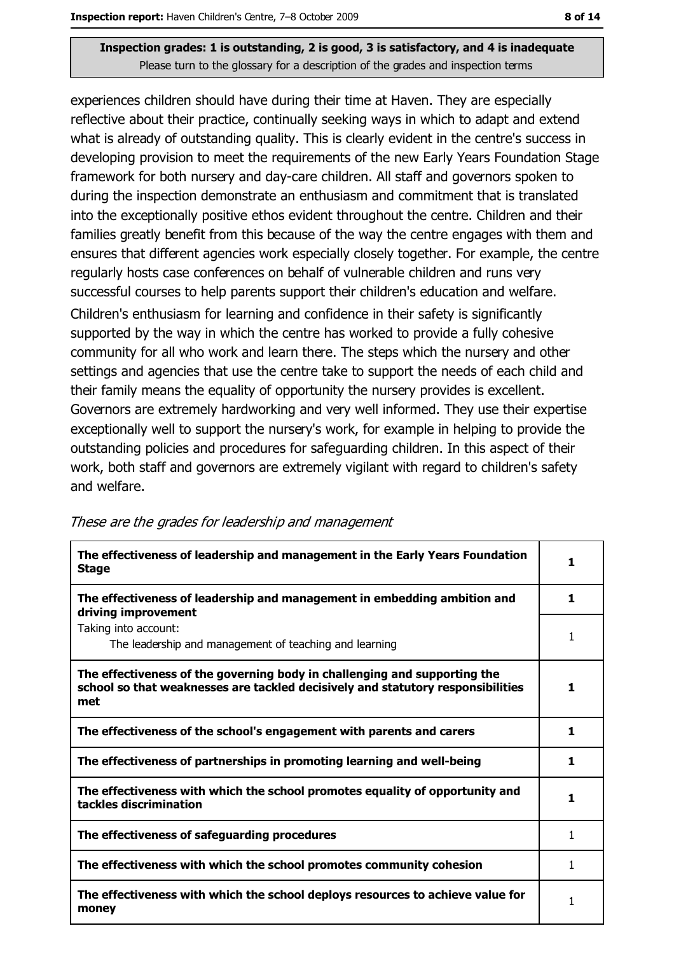experiences children should have during their time at Haven. They are especially reflective about their practice, continually seeking ways in which to adapt and extend what is already of outstanding quality. This is clearly evident in the centre's success in developing provision to meet the requirements of the new Early Years Foundation Stage framework for both nursery and day-care children. All staff and governors spoken to during the inspection demonstrate an enthusiasm and commitment that is translated into the exceptionally positive ethos evident throughout the centre. Children and their families greatly benefit from this because of the way the centre engages with them and ensures that different agencies work especially closely together. For example, the centre regularly hosts case conferences on behalf of vulnerable children and runs very successful courses to help parents support their children's education and welfare. Children's enthusiasm for learning and confidence in their safety is significantly supported by the way in which the centre has worked to provide a fully cohesive community for all who work and learn there. The steps which the nursery and other settings and agencies that use the centre take to support the needs of each child and their family means the equality of opportunity the nursery provides is excellent. Governors are extremely hardworking and very well informed. They use their expertise exceptionally well to support the nursery's work, for example in helping to provide the outstanding policies and procedures for safeguarding children. In this aspect of their work, both staff and governors are extremely vigilant with regard to children's safety and welfare.

| The effectiveness of leadership and management in the Early Years Foundation<br><b>Stage</b>                                                                        | 1 |
|---------------------------------------------------------------------------------------------------------------------------------------------------------------------|---|
| The effectiveness of leadership and management in embedding ambition and<br>driving improvement                                                                     | 1 |
| Taking into account:<br>The leadership and management of teaching and learning                                                                                      | 1 |
| The effectiveness of the governing body in challenging and supporting the<br>school so that weaknesses are tackled decisively and statutory responsibilities<br>met | 1 |
| The effectiveness of the school's engagement with parents and carers                                                                                                | 1 |
| The effectiveness of partnerships in promoting learning and well-being                                                                                              | 1 |
| The effectiveness with which the school promotes equality of opportunity and<br>tackles discrimination                                                              | 1 |
| The effectiveness of safeguarding procedures                                                                                                                        | 1 |
| The effectiveness with which the school promotes community cohesion                                                                                                 | 1 |
| The effectiveness with which the school deploys resources to achieve value for<br>money                                                                             | 1 |

These are the grades for leadership and management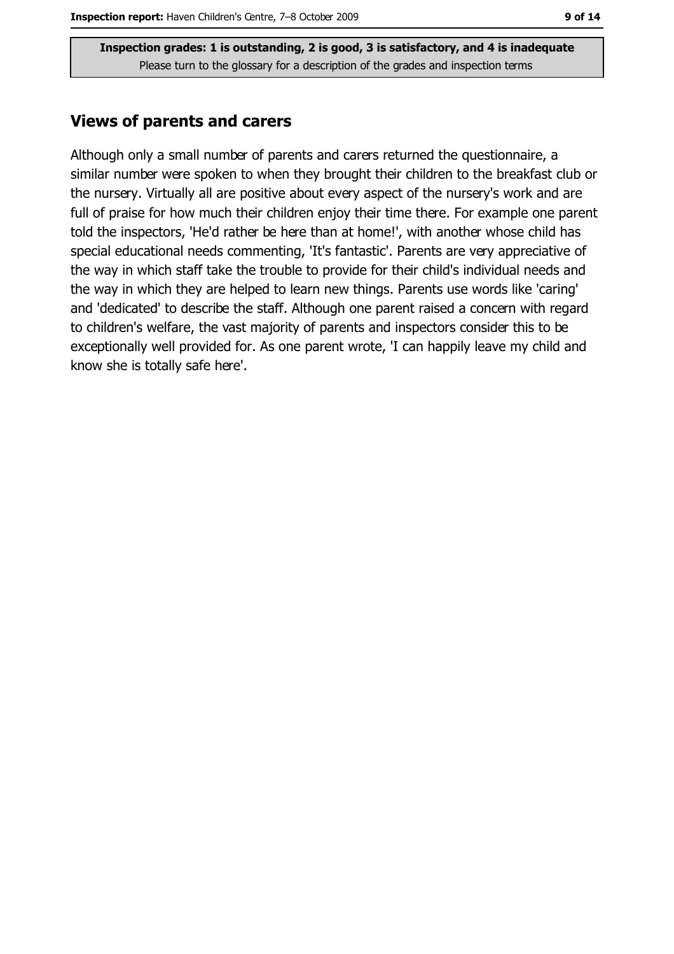#### **Views of parents and carers**

Although only a small number of parents and carers returned the questionnaire, a similar number were spoken to when they brought their children to the breakfast club or the nursery. Virtually all are positive about every aspect of the nursery's work and are full of praise for how much their children enjoy their time there. For example one parent told the inspectors, 'He'd rather be here than at home!', with another whose child has special educational needs commenting, 'It's fantastic'. Parents are very appreciative of the way in which staff take the trouble to provide for their child's individual needs and the way in which they are helped to learn new things. Parents use words like 'caring' and 'dedicated' to describe the staff. Although one parent raised a concern with regard to children's welfare, the vast majority of parents and inspectors consider this to be exceptionally well provided for. As one parent wrote, 'I can happily leave my child and know she is totally safe here'.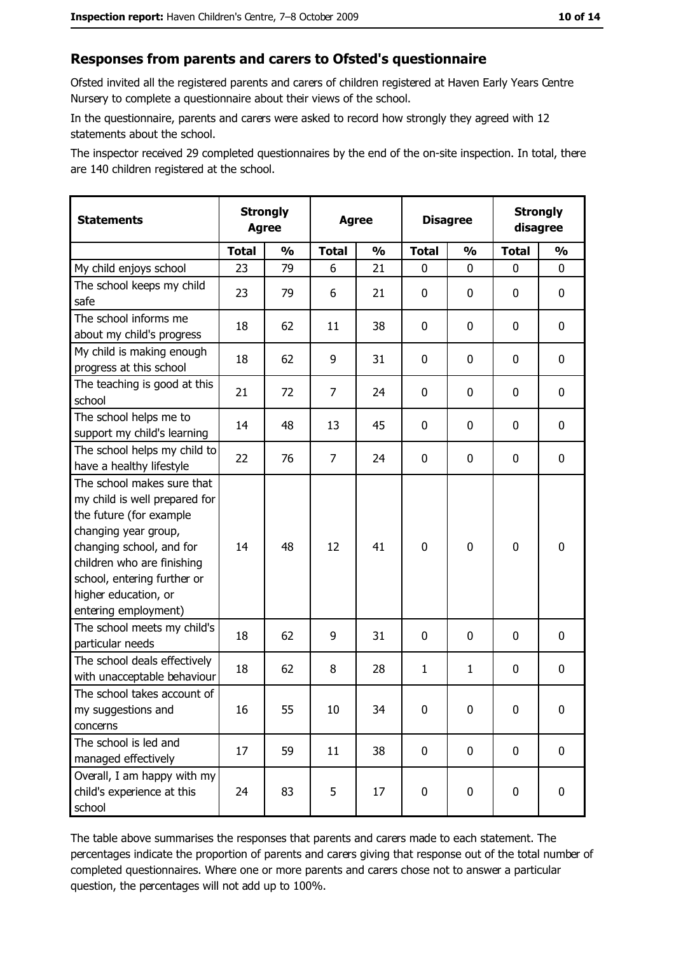#### Responses from parents and carers to Ofsted's questionnaire

Ofsted invited all the registered parents and carers of children registered at Haven Early Years Centre Nursery to complete a questionnaire about their views of the school.

In the questionnaire, parents and carers were asked to record how strongly they agreed with 12 statements about the school.

The inspector received 29 completed questionnaires by the end of the on-site inspection. In total, there are 140 children registered at the school.

| <b>Statements</b>                                                                                                                                                                                                                                       | <b>Strongly</b><br><b>Agree</b> |               | <b>Agree</b>   |               | <b>Disagree</b> |               | <b>Strongly</b><br>disagree |               |
|---------------------------------------------------------------------------------------------------------------------------------------------------------------------------------------------------------------------------------------------------------|---------------------------------|---------------|----------------|---------------|-----------------|---------------|-----------------------------|---------------|
|                                                                                                                                                                                                                                                         | <b>Total</b>                    | $\frac{0}{0}$ | <b>Total</b>   | $\frac{0}{0}$ | <b>Total</b>    | $\frac{1}{2}$ | <b>Total</b>                | $\frac{1}{2}$ |
| My child enjoys school                                                                                                                                                                                                                                  | 23                              | 79            | 6              | 21            | 0               | 0             | 0                           | 0             |
| The school keeps my child<br>safe                                                                                                                                                                                                                       | 23                              | 79            | 6              | 21            | $\mathbf 0$     | 0             | 0                           | 0             |
| The school informs me<br>about my child's progress                                                                                                                                                                                                      | 18                              | 62            | 11             | 38            | $\mathbf 0$     | 0             | 0                           | 0             |
| My child is making enough<br>progress at this school                                                                                                                                                                                                    | 18                              | 62            | 9              | 31            | $\mathbf 0$     | 0             | 0                           | 0             |
| The teaching is good at this<br>school                                                                                                                                                                                                                  | 21                              | 72            | 7              | 24            | 0               | 0             | 0                           | 0             |
| The school helps me to<br>support my child's learning                                                                                                                                                                                                   | 14                              | 48            | 13             | 45            | $\mathbf 0$     | 0             | 0                           | 0             |
| The school helps my child to<br>have a healthy lifestyle                                                                                                                                                                                                | 22                              | 76            | $\overline{7}$ | 24            | $\mathbf 0$     | 0             | 0                           | $\mathbf 0$   |
| The school makes sure that<br>my child is well prepared for<br>the future (for example<br>changing year group,<br>changing school, and for<br>children who are finishing<br>school, entering further or<br>higher education, or<br>entering employment) | 14                              | 48            | 12             | 41            | $\mathbf 0$     | 0             | $\mathbf 0$                 | $\mathbf 0$   |
| The school meets my child's<br>particular needs                                                                                                                                                                                                         | 18                              | 62            | 9              | 31            | $\mathbf 0$     | 0             | 0                           | 0             |
| The school deals effectively<br>with unacceptable behaviour                                                                                                                                                                                             | 18                              | 62            | 8              | 28            | $\mathbf{1}$    | $\mathbf{1}$  | 0                           | 0             |
| The school takes account of<br>my suggestions and<br>concerns                                                                                                                                                                                           | 16                              | 55            | 10             | 34            | $\mathbf 0$     | 0             | 0                           | $\bf{0}$      |
| The school is led and<br>managed effectively                                                                                                                                                                                                            | 17                              | 59            | 11             | 38            | $\mathbf 0$     | $\mathbf 0$   | $\mathbf 0$                 | 0             |
| Overall, I am happy with my<br>child's experience at this<br>school                                                                                                                                                                                     | 24                              | 83            | 5              | 17            | $\mathbf 0$     | 0             | 0                           | 0             |

The table above summarises the responses that parents and carers made to each statement. The percentages indicate the proportion of parents and carers giving that response out of the total number of completed questionnaires. Where one or more parents and carers chose not to answer a particular question, the percentages will not add up to 100%.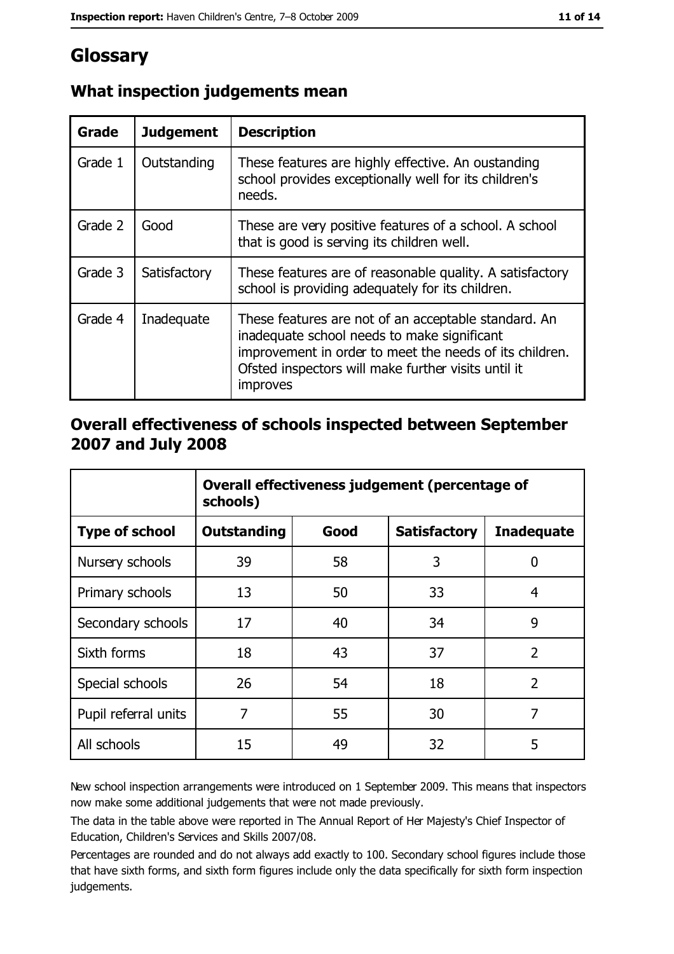# Glossary

| Grade   | <b>Judgement</b> | <b>Description</b>                                                                                                                                                                                                                |
|---------|------------------|-----------------------------------------------------------------------------------------------------------------------------------------------------------------------------------------------------------------------------------|
| Grade 1 | Outstanding      | These features are highly effective. An oustanding<br>school provides exceptionally well for its children's<br>needs.                                                                                                             |
| Grade 2 | Good             | These are very positive features of a school. A school<br>that is good is serving its children well.                                                                                                                              |
| Grade 3 | Satisfactory     | These features are of reasonable quality. A satisfactory<br>school is providing adequately for its children.                                                                                                                      |
| Grade 4 | Inadequate       | These features are not of an acceptable standard. An<br>inadequate school needs to make significant<br>improvement in order to meet the needs of its children.<br>Ofsted inspectors will make further visits until it<br>improves |

## What inspection judgements mean

#### Overall effectiveness of schools inspected between September 2007 and July 2008

|                       | Overall effectiveness judgement (percentage of<br>schools) |      |                     |                   |
|-----------------------|------------------------------------------------------------|------|---------------------|-------------------|
| <b>Type of school</b> | <b>Outstanding</b>                                         | Good | <b>Satisfactory</b> | <b>Inadequate</b> |
| Nursery schools       | 39                                                         | 58   | 3                   | 0                 |
| Primary schools       | 13                                                         | 50   | 33                  | 4                 |
| Secondary schools     | 17                                                         | 40   | 34                  | 9                 |
| Sixth forms           | 18                                                         | 43   | 37                  | $\overline{2}$    |
| Special schools       | 26                                                         | 54   | 18                  | $\overline{2}$    |
| Pupil referral units  | 7                                                          | 55   | 30                  | 7                 |
| All schools           | 15                                                         | 49   | 32                  | 5                 |

New school inspection arrangements were introduced on 1 September 2009. This means that inspectors now make some additional judgements that were not made previously.

The data in the table above were reported in The Annual Report of Her Majesty's Chief Inspector of Education, Children's Services and Skills 2007/08.

Percentages are rounded and do not always add exactly to 100. Secondary school figures include those that have sixth forms, and sixth form figures include only the data specifically for sixth form inspection judgements.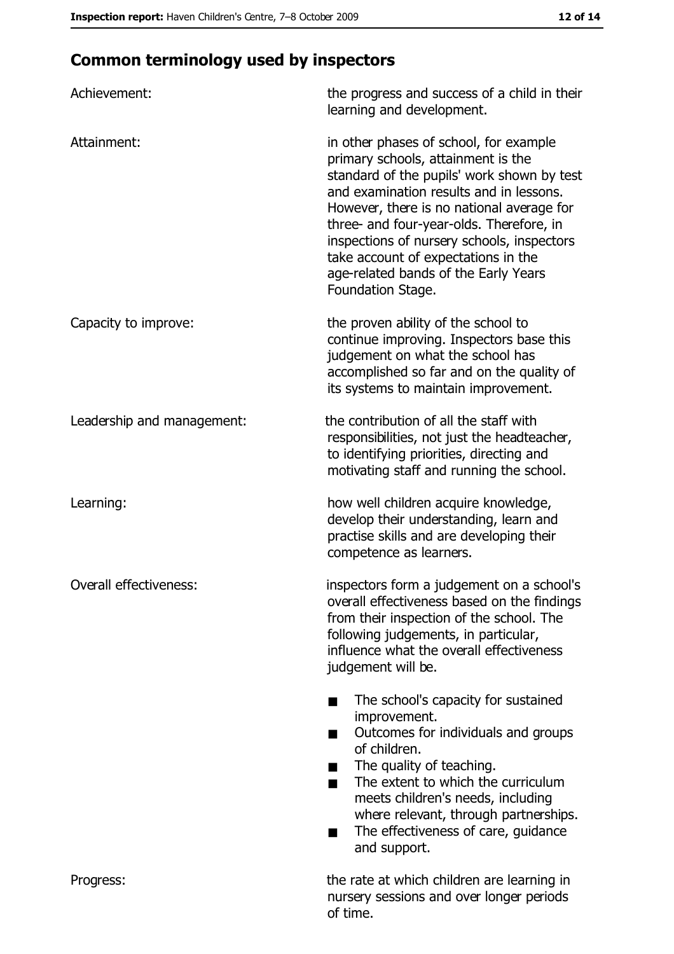# **Common terminology used by inspectors**

| Achievement:                  | the progress and success of a child in their<br>learning and development.                                                                                                                                                                                                                                                                                                                                        |
|-------------------------------|------------------------------------------------------------------------------------------------------------------------------------------------------------------------------------------------------------------------------------------------------------------------------------------------------------------------------------------------------------------------------------------------------------------|
| Attainment:                   | in other phases of school, for example<br>primary schools, attainment is the<br>standard of the pupils' work shown by test<br>and examination results and in lessons.<br>However, there is no national average for<br>three- and four-year-olds. Therefore, in<br>inspections of nursery schools, inspectors<br>take account of expectations in the<br>age-related bands of the Early Years<br>Foundation Stage. |
| Capacity to improve:          | the proven ability of the school to<br>continue improving. Inspectors base this<br>judgement on what the school has<br>accomplished so far and on the quality of<br>its systems to maintain improvement.                                                                                                                                                                                                         |
| Leadership and management:    | the contribution of all the staff with<br>responsibilities, not just the headteacher,<br>to identifying priorities, directing and<br>motivating staff and running the school.                                                                                                                                                                                                                                    |
| Learning:                     | how well children acquire knowledge,<br>develop their understanding, learn and<br>practise skills and are developing their<br>competence as learners.                                                                                                                                                                                                                                                            |
| <b>Overall effectiveness:</b> | inspectors form a judgement on a school's<br>overall effectiveness based on the findings<br>from their inspection of the school. The<br>following judgements, in particular,<br>influence what the overall effectiveness<br>judgement will be.                                                                                                                                                                   |
|                               | The school's capacity for sustained<br>improvement.<br>Outcomes for individuals and groups<br>of children.<br>The quality of teaching.<br>The extent to which the curriculum<br>■<br>meets children's needs, including<br>where relevant, through partnerships.<br>The effectiveness of care, guidance<br>and support.                                                                                           |
| Progress:                     | the rate at which children are learning in<br>nursery sessions and over longer periods<br>of time.                                                                                                                                                                                                                                                                                                               |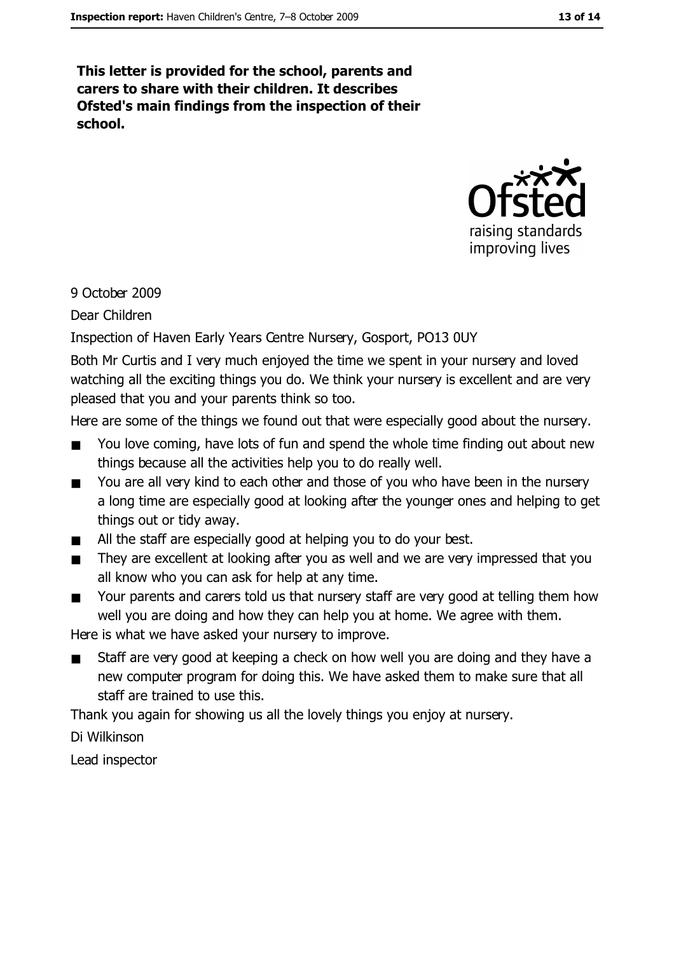This letter is provided for the school, parents and carers to share with their children. It describes Ofsted's main findings from the inspection of their school.



9 October 2009

Dear Children

Inspection of Haven Early Years Centre Nursery, Gosport, PO13 0UY

Both Mr Curtis and I very much enjoyed the time we spent in your nursery and loved watching all the exciting things you do. We think your nursery is excellent and are very pleased that you and your parents think so too.

Here are some of the things we found out that were especially good about the nursery.

- You love coming, have lots of fun and spend the whole time finding out about new  $\blacksquare$ things because all the activities help you to do really well.
- You are all very kind to each other and those of you who have been in the nursery  $\blacksquare$ a long time are especially good at looking after the younger ones and helping to get things out or tidy away.
- All the staff are especially good at helping you to do your best.  $\blacksquare$
- They are excellent at looking after you as well and we are very impressed that you  $\blacksquare$ all know who you can ask for help at any time.
- Your parents and carers told us that nursery staff are very good at telling them how  $\blacksquare$ well you are doing and how they can help you at home. We agree with them.

Here is what we have asked your nursery to improve.

Staff are very good at keeping a check on how well you are doing and they have a  $\blacksquare$ new computer program for doing this. We have asked them to make sure that all staff are trained to use this.

Thank you again for showing us all the lovely things you enjoy at nursery.

Di Wilkinson

Lead inspector